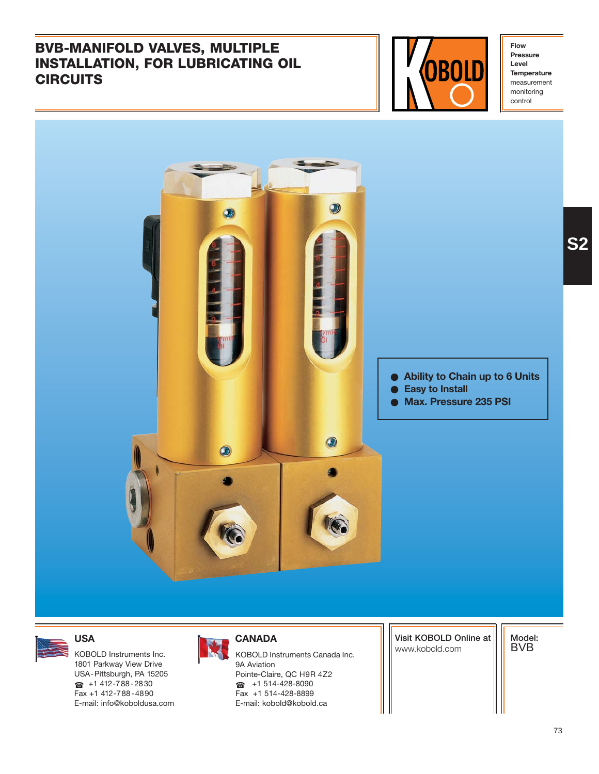## **BVB-MANIFOLD VALVES, MULTIPLE INSTALLATION, FOR LUBRICATING OIL CIRCUITS**

Fax +1 412-788-4890 E-mail: info@koboldusa.com



**Flow Pressure Level Temperature** measurement monitoring control



Fax +1 514-428-8899 E-mail: kobold@kobold.ca